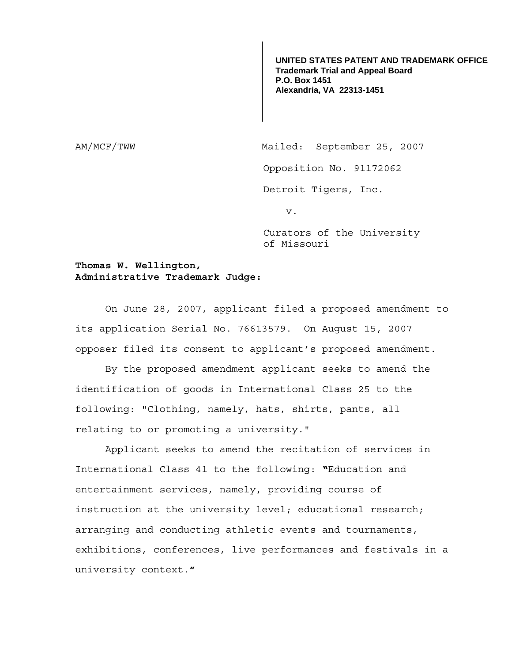**UNITED STATES PATENT AND TRADEMARK OFFICE Trademark Trial and Appeal Board P.O. Box 1451 Alexandria, VA 22313-1451**

AM/MCF/TWW Mailed: September 25, 2007 Opposition No. 91172062 Detroit Tigers, Inc.

v.

Curators of the University of Missouri

## **Thomas W. Wellington, Administrative Trademark Judge:**

 On June 28, 2007, applicant filed a proposed amendment to its application Serial No. 76613579. On August 15, 2007 opposer filed its consent to applicant's proposed amendment.

 By the proposed amendment applicant seeks to amend the identification of goods in International Class 25 to the following: "Clothing, namely, hats, shirts, pants, all relating to or promoting a university."

 Applicant seeks to amend the recitation of services in International Class 41 to the following: **"**Education and entertainment services, namely, providing course of instruction at the university level; educational research; arranging and conducting athletic events and tournaments, exhibitions, conferences, live performances and festivals in a university context.**"**